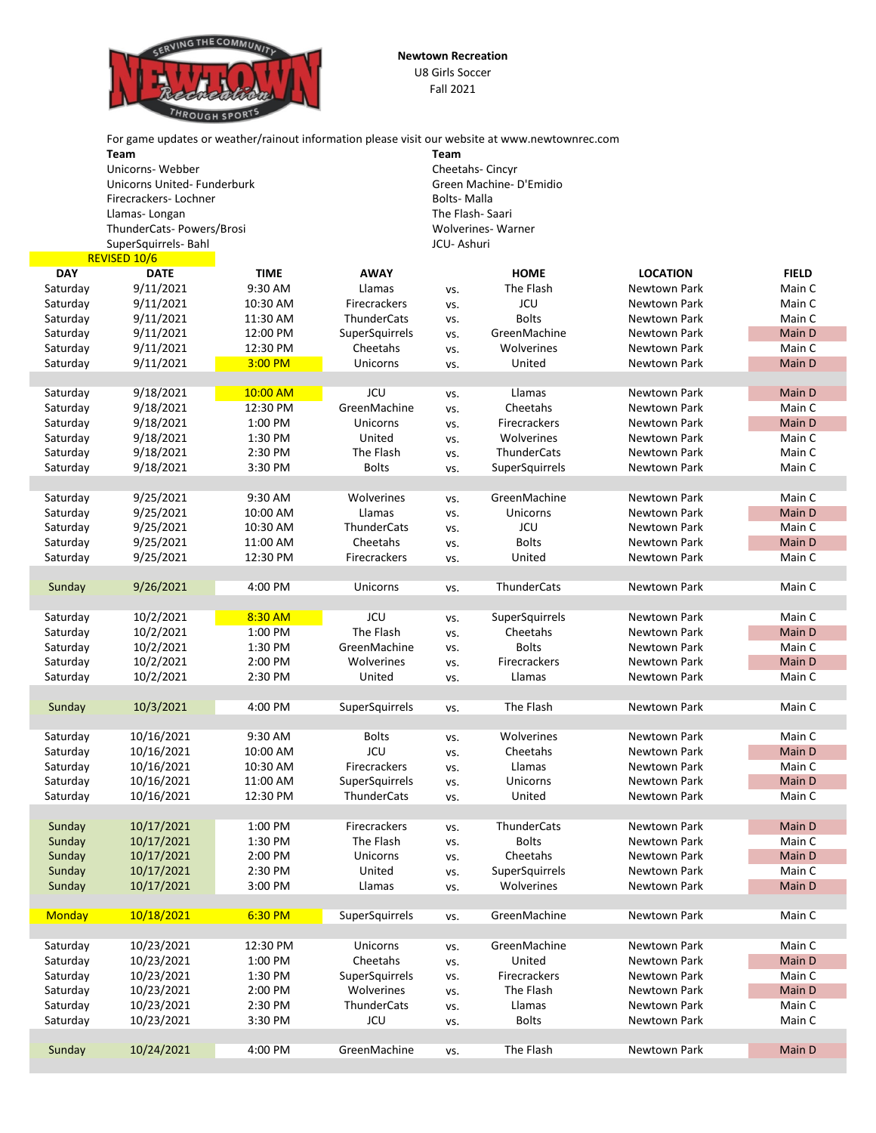

**Newtown Recreation** U8 Girls Soccer Fall 2021

|                      |                            |                    |                          |                        | For game updates or weather/rainout information please visit our website at www.newtownrec.com |                 |              |  |  |
|----------------------|----------------------------|--------------------|--------------------------|------------------------|------------------------------------------------------------------------------------------------|-----------------|--------------|--|--|
|                      | <b>Team</b>                |                    |                          | <b>Team</b>            |                                                                                                |                 |              |  |  |
|                      | Unicorns-Webber            |                    |                          |                        | Cheetahs-Cincyr                                                                                |                 |              |  |  |
|                      | Unicorns United-Funderburk |                    |                          | Green Machine-D'Emidio |                                                                                                |                 |              |  |  |
|                      | Firecrackers-Lochner       |                    |                          | <b>Bolts-Malla</b>     |                                                                                                |                 |              |  |  |
|                      | Llamas-Longan              |                    | The Flash-Saari          |                        |                                                                                                |                 |              |  |  |
|                      | ThunderCats-Powers/Brosi   |                    | <b>Wolverines-Warner</b> |                        |                                                                                                |                 |              |  |  |
|                      | SuperSquirrels- Bahl       |                    | JCU-Ashuri               |                        |                                                                                                |                 |              |  |  |
|                      | REVISED 10/6               |                    |                          |                        |                                                                                                |                 |              |  |  |
| <b>DAY</b>           | <b>DATE</b>                | <b>TIME</b>        | <b>AWAY</b>              |                        | <b>HOME</b>                                                                                    | <b>LOCATION</b> | <b>FIELD</b> |  |  |
| Saturday             | 9/11/2021                  | 9:30 AM            | Llamas                   | VS.                    | The Flash                                                                                      | Newtown Park    | Main C       |  |  |
| Saturday             | 9/11/2021                  | 10:30 AM           | <b>Firecrackers</b>      | VS.                    | <b>JCU</b>                                                                                     | Newtown Park    | Main C       |  |  |
| Saturday             | 9/11/2021                  | 11:30 AM           | ThunderCats              | VS.                    | <b>Bolts</b>                                                                                   | Newtown Park    | Main C       |  |  |
| Saturday             | 9/11/2021                  | 12:00 PM           | SuperSquirrels           | VS.                    | GreenMachine                                                                                   | Newtown Park    | Main D       |  |  |
| Saturday             | 9/11/2021                  | 12:30 PM           | Cheetahs                 | VS.                    | Wolverines                                                                                     | Newtown Park    | Main C       |  |  |
| Saturday             | 9/11/2021                  | 3:00 PM            | Unicorns                 | VS.                    | United                                                                                         | Newtown Park    | Main D       |  |  |
|                      |                            |                    |                          |                        |                                                                                                |                 |              |  |  |
| Saturday             | 9/18/2021                  | 10:00 AM           | <b>JCU</b>               | VS.                    | Llamas                                                                                         | Newtown Park    | Main D       |  |  |
| Saturday             | 9/18/2021                  | 12:30 PM           | GreenMachine             | VS.                    | Cheetahs                                                                                       | Newtown Park    | Main C       |  |  |
| Saturday             | 9/18/2021                  | 1:00 PM            | Unicorns                 | VS.                    | Firecrackers                                                                                   | Newtown Park    | Main D       |  |  |
| Saturday             | 9/18/2021                  | 1:30 PM            | United                   | VS.                    | Wolverines                                                                                     | Newtown Park    | Main C       |  |  |
| Saturday             | 9/18/2021                  | 2:30 PM            | The Flash                | VS.                    | ThunderCats                                                                                    | Newtown Park    | Main C       |  |  |
| Saturday             | 9/18/2021                  | 3:30 PM            | <b>Bolts</b>             | VS.                    | SuperSquirrels                                                                                 | Newtown Park    | Main C       |  |  |
|                      |                            |                    |                          |                        |                                                                                                |                 |              |  |  |
| Saturday             | 9/25/2021                  | 9:30 AM            | Wolverines               | VS.                    | GreenMachine                                                                                   | Newtown Park    | Main C       |  |  |
| Saturday             | 9/25/2021                  | 10:00 AM           | Llamas                   | VS.                    | Unicorns                                                                                       | Newtown Park    | Main D       |  |  |
| Saturday             | 9/25/2021                  | 10:30 AM           | ThunderCats              | VS.                    | JCU                                                                                            | Newtown Park    | Main C       |  |  |
| Saturday             | 9/25/2021                  | 11:00 AM           | Cheetahs                 | VS.                    | <b>Bolts</b>                                                                                   | Newtown Park    | Main D       |  |  |
| Saturday             | 9/25/2021                  | 12:30 PM           | Firecrackers             | vs.                    | United                                                                                         | Newtown Park    | Main C       |  |  |
|                      |                            |                    |                          |                        |                                                                                                |                 |              |  |  |
| Sunday               | 9/26/2021                  | 4:00 PM            | Unicorns                 |                        | <b>ThunderCats</b>                                                                             | Newtown Park    | Main C       |  |  |
|                      |                            |                    |                          | VS.                    |                                                                                                |                 |              |  |  |
| Saturday             | 10/2/2021                  |                    | <b>JCU</b>               |                        |                                                                                                | Newtown Park    | Main C       |  |  |
|                      | 10/2/2021                  | 8:30 AM<br>1:00 PM | The Flash                | VS.                    | SuperSquirrels<br>Cheetahs                                                                     | Newtown Park    | Main D       |  |  |
| Saturday<br>Saturday | 10/2/2021                  | 1:30 PM            | GreenMachine             | VS.                    | <b>Bolts</b>                                                                                   |                 | Main C       |  |  |
|                      | 10/2/2021                  |                    | Wolverines               | VS.                    | Firecrackers                                                                                   | Newtown Park    |              |  |  |
| Saturday             |                            | 2:00 PM            |                          | VS.                    |                                                                                                | Newtown Park    | Main D       |  |  |
| Saturday             | 10/2/2021                  | 2:30 PM            | United                   | VS.                    | Llamas                                                                                         | Newtown Park    | Main C       |  |  |
|                      |                            |                    |                          |                        |                                                                                                |                 |              |  |  |
| Sunday               | 10/3/2021                  | 4:00 PM            | SuperSquirrels           | VS.                    | The Flash                                                                                      | Newtown Park    | Main C       |  |  |
|                      |                            |                    |                          |                        |                                                                                                |                 |              |  |  |
| Saturday             | 10/16/2021                 | 9:30 AM            | <b>Bolts</b>             | VS.                    | Wolverines                                                                                     | Newtown Park    | Main C       |  |  |
| Saturday             | 10/16/2021                 | 10:00 AM           | JCU                      | VS.                    | Cheetahs                                                                                       | Newtown Park    | Main D       |  |  |
| Saturday             | 10/16/2021                 | 10:30 AM           | Firecrackers             | VS.                    | Llamas                                                                                         | Newtown Park    | Main C       |  |  |
| Saturday             | 10/16/2021                 | 11:00 AM           | SuperSquirrels           | VS.                    | Unicorns                                                                                       | Newtown Park    | Main D       |  |  |
| Saturday             | 10/16/2021                 | 12:30 PM           | ThunderCats              | VS.                    | United                                                                                         | Newtown Park    | Main C       |  |  |
|                      |                            |                    |                          |                        |                                                                                                |                 |              |  |  |
| Sunday               | 10/17/2021                 | 1:00 PM            | Firecrackers             | VS.                    | ThunderCats                                                                                    | Newtown Park    | Main D       |  |  |
| Sunday               | 10/17/2021                 | 1:30 PM            | The Flash                | VS.                    | <b>Bolts</b>                                                                                   | Newtown Park    | Main C       |  |  |
| Sunday               | 10/17/2021                 | 2:00 PM            | Unicorns                 | VS.                    | Cheetahs                                                                                       | Newtown Park    | Main D       |  |  |

Sunday 10/17/2021 2:30 PM United vs. SuperSquirrels Newtown Park Main C Sunday 10/17/2021 3:00 PM Llamas vs. Wolverines Newtown Park Main D

Monday 10/18/2021 6:30 PM SuperSquirrels vs. GreenMachine Newtown Park Main C

Saturday 10/23/2021 12:30 PM Unicorns vs. GreenMachine Newtown Park Main C Saturday 10/23/2021 1:00 PM Cheetahs vs. United Newtown Park Main D Saturday 10/23/2021 1:30 PM SuperSquirrels vs. Firecrackers Newtown Park Main C Saturday 10/23/2021 2:00 PM Wolverines vs. The Flash Newtown Park Main D Saturday 10/23/2021 2:30 PM ThunderCats vs. Llamas Newtown Park Main C Saturday 10/23/2021 3:30 PM JCU vs. Bolts Newtown Park Main C

Sunday 10/24/2021 4:00 PM GreenMachine vs. The Flash Newtown Park Main D